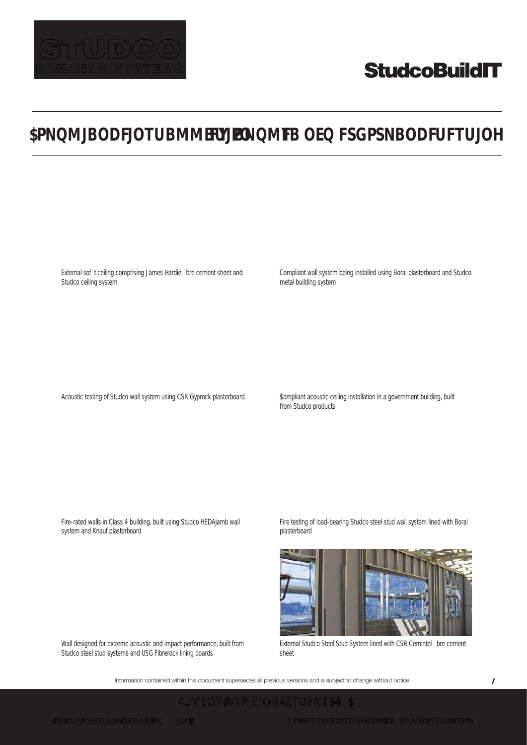

# **StudcoBuildIT**

## **\$PNQMJBODFJOTUBMMBUJPO FY BNQMF TB OEQFSGPSNBODFUFTUJOH**

External sof t ceiling comprising James Hardie bre cement sheet and Studco ceiling system

Acoustic testing of Studco wall system using CSR Gyprock plasterboard

Compliant wall system being installed using Boral plasterboard and Studco metal building system

\$ompliant acoustic ceiling installation in a government building, built from Studco products

Fire-rated walls in Class 4 building, built using Studco HEDAjamb wall system and Knauf plasterboard

Fire testing of load-bearing Studco steel stud wall system lined with Boral plasterboard

Wall designed for extreme acoustic and impact performance, built from Studco steel stud systems and USG Fibrerock lining boards

External Studco Steel Stud System lined with CSR Cemintel bre cement sheet

Information contained within this document supersedes all previous versions and is subject to change without notice.

**8 8 8 8 8**